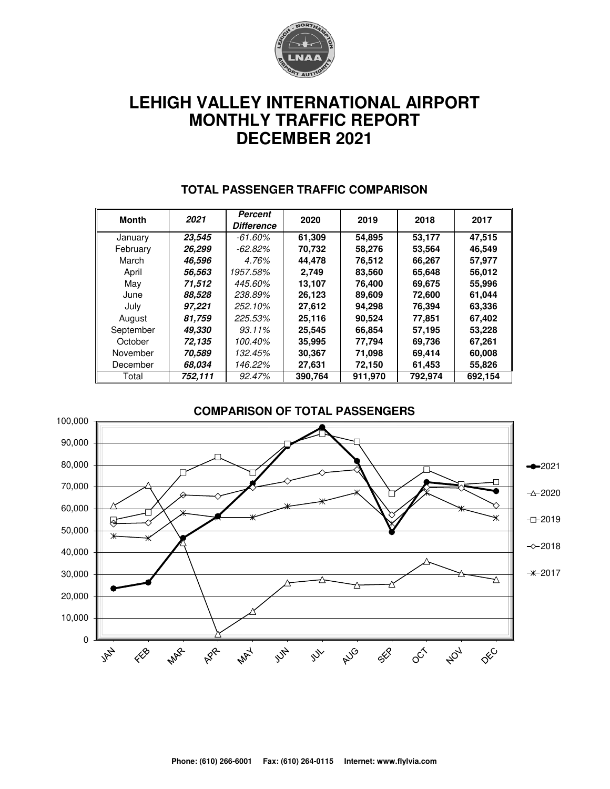

# **LEHIGH VALLEY INTERNATIONAL AIRPORT MONTHLY TRAFFIC REPORT DECEMBER 2021**

| <b>Month</b> | 2021    | Percent<br><b>Difference</b> | 2020    | 2019    | 2018    | 2017    |  |
|--------------|---------|------------------------------|---------|---------|---------|---------|--|
| January      | 23,545  | $-61.60\%$                   | 61,309  | 54,895  | 53,177  | 47,515  |  |
| February     | 26,299  | -62.82%                      | 70,732  | 58,276  | 53,564  | 46,549  |  |
| March        | 46,596  | 4.76%                        | 44,478  | 76,512  | 66,267  | 57,977  |  |
| April        | 56,563  | 1957.58%                     | 2.749   | 83,560  | 65,648  | 56,012  |  |
| May          | 71,512  | 445.60%                      | 13,107  | 76,400  | 69,675  | 55,996  |  |
| June         | 88.528  | 238.89%                      | 26,123  | 89,609  | 72,600  | 61,044  |  |
| July         | 97,221  | 252.10%                      | 27,612  | 94,298  | 76,394  | 63,336  |  |
| August       | 81,759  | 225.53%                      | 25,116  | 90,524  | 77,851  | 67,402  |  |
| September    | 49.330  | 93.11%                       | 25,545  | 66,854  | 57,195  | 53,228  |  |
| October      | 72,135  | 100.40%                      | 35,995  | 77,794  | 69,736  | 67,261  |  |
| November     | 70,589  | 132.45%                      | 30,367  | 71,098  | 69,414  | 60,008  |  |
| December     | 68.034  | 146.22%                      | 27,631  | 72,150  | 61,453  | 55,826  |  |
| Total        | 752,111 | 92.47%                       | 390,764 | 911,970 | 792,974 | 692,154 |  |

#### **TOTAL PASSENGER TRAFFIC COMPARISON**

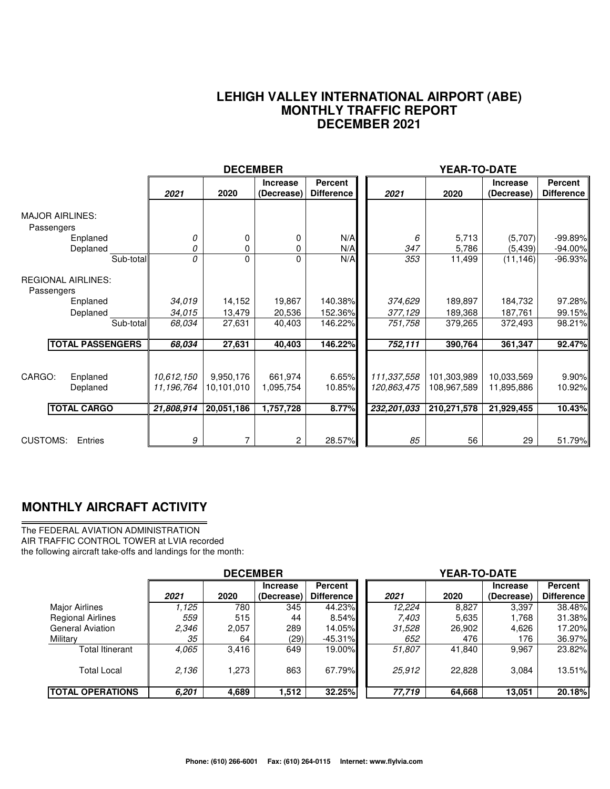#### **LEHIGH VALLEY INTERNATIONAL AIRPORT (ABE) MONTHLY TRAFFIC REPORT DECEMBER 2021**

|                                                              |                                        | <b>DECEMBER</b>                       |                                   |                               | YEAR-TO-DATE                              |                                           |                                        |                              |  |
|--------------------------------------------------------------|----------------------------------------|---------------------------------------|-----------------------------------|-------------------------------|-------------------------------------------|-------------------------------------------|----------------------------------------|------------------------------|--|
|                                                              | 2021                                   | 2020                                  | <b>Increase</b><br>(Decrease)     | Percent<br><b>Difference</b>  | 2021                                      | 2020                                      | <b>Increase</b><br>(Decrease)          | Percent<br><b>Difference</b> |  |
| <b>MAJOR AIRLINES:</b><br>Passengers<br>Enplaned<br>Deplaned | 0<br>0                                 | 0<br>0                                | 0<br>0                            | N/A<br>N/A                    | 6<br>347                                  | 5,713<br>5,786                            | (5,707)<br>(5, 439)                    | $-99.89%$<br>$-94.00\%$      |  |
| Sub-total<br><b>REGIONAL AIRLINES:</b><br>Passengers         | O                                      | 0                                     | 0                                 | N/A                           | 353                                       | 11,499                                    | (11, 146)                              | $-96.93%$                    |  |
| Enplaned<br>Deplaned<br>Sub-total                            | 34,019<br>34,015<br>68,034             | 14,152<br>13,479<br>27,631            | 19,867<br>20,536<br>40,403        | 140.38%<br>152.36%<br>146.22% | 374,629<br>377,129<br>751,758             | 189,897<br>189,368<br>379,265             | 184,732<br>187,761<br>372,493          | 97.28%<br>99.15%<br>98.21%   |  |
| <b>TOTAL PASSENGERS</b>                                      | 68,034                                 | 27,631                                | 40,403                            | 146.22%                       | 752,111                                   | 390,764                                   | 361,347                                | 92.47%                       |  |
| CARGO:<br>Enplaned<br>Deplaned<br><b>TOTAL CARGO</b>         | 10.612,150<br>11,196,764<br>21,808,914 | 9,950,176<br>10,101,010<br>20,051,186 | 661.974<br>1,095,754<br>1,757,728 | 6.65%<br>10.85%<br>8.77%      | 111,337,558<br>120,863,475<br>232,201,033 | 101,303,989<br>108,967,589<br>210,271,578 | 10,033,569<br>11,895,886<br>21,929,455 | 9.90%<br>10.92%<br>10.43%    |  |
| <b>CUSTOMS:</b><br>Entries                                   | 9                                      | 7                                     | 2                                 | 28.57%                        | 85                                        | 56                                        | 29                                     | 51.79%                       |  |

### **MONTHLY AIRCRAFT ACTIVITY**

The FEDERAL AVIATION ADMINISTRATION AIR TRAFFIC CONTROL TOWER at LVIA recorded the following aircraft take-offs and landings for the month:

|                          | <b>DECEMBER</b> |       |                               |                                     | YEAR-TO-DATE |        |                               |                              |  |  |
|--------------------------|-----------------|-------|-------------------------------|-------------------------------------|--------------|--------|-------------------------------|------------------------------|--|--|
|                          | 2021            | 2020  | <b>Increase</b><br>(Decrease) | <b>Percent</b><br><b>Difference</b> | 2021         | 2020   | <b>Increase</b><br>(Decrease) | Percent<br><b>Difference</b> |  |  |
| <b>Major Airlines</b>    | 1.125           | 780   | 345                           | 44.23%                              | 12,224       | 8.827  | 3,397                         | 38.48%                       |  |  |
| <b>Regional Airlines</b> | 559             | 515   | 44                            | 8.54%                               | 7,403        | 5,635  | 1.768                         | 31.38%                       |  |  |
| <b>General Aviation</b>  | 2,346           | 2,057 | 289                           | 14.05%                              | 31,528       | 26,902 | 4,626                         | 17.20%                       |  |  |
| Military                 | 35              | 64    | (29)                          | $-45.31\%$                          | 652          | 476    | 176                           | 36.97%                       |  |  |
| Total Itinerant          | 4.065           | 3,416 | 649                           | 19.00%                              | 51,807       | 41,840 | 9.967                         | 23.82%                       |  |  |
| <b>Total Local</b>       | 2.136           | 1.273 | 863                           | 67.79%                              | 25,912       | 22.828 | 3.084                         | 13.51%                       |  |  |
| <b>ITOTAL OPERATIONS</b> | 6.201           | 4,689 | 1,512                         | 32.25%                              | 77,719       | 64,668 | 13,051                        | 20.18%                       |  |  |